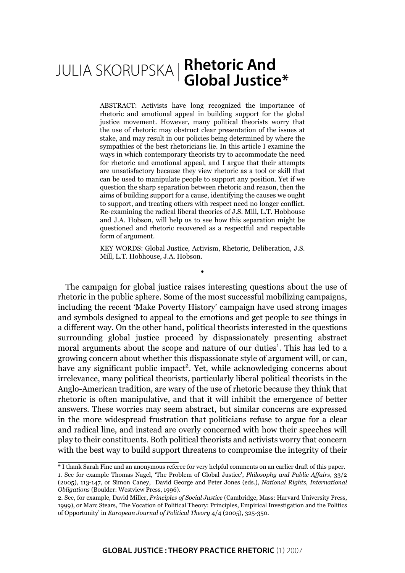## **Rhetoric And Global Justice\*** JULIA SKORUPSKA

ABSTRACT: Activists have long recognized the importance of rhetoric and emotional appeal in building support for the global justice movement. However, many political theorists worry that the use of rhetoric may obstruct clear presentation of the issues at stake, and may result in our policies being determined by where the sympathies of the best rhetoricians lie. In this article I examine the ways in which contemporary theorists try to accommodate the need for rhetoric and emotional appeal, and I argue that their attempts are unsatisfactory because they view rhetoric as a tool or skill that can be used to manipulate people to support any position. Yet if we question the sharp separation between rhetoric and reason, then the aims of building support for a cause, identifying the causes we ought to support, and treating others with respect need no longer conflict. Re-examining the radical liberal theories of J.S. Mill, L.T. Hobhouse and J.A. Hobson, will help us to see how this separation might be questioned and rhetoric recovered as a respectful and respectable form of argument.

KEY WORDS: Global Justice, Activism, Rhetoric, Deliberation, J.S. Mill, L.T. Hobhouse, J.A. Hobson.

•

The campaign for global justice raises interesting questions about the use of rhetoric in the public sphere. Some of the most successful mobilizing campaigns, including the recent 'Make Poverty History' campaign have used strong images and symbols designed to appeal to the emotions and get people to see things in a different way. On the other hand, political theorists interested in the questions surrounding global justice proceed by dispassionately presenting abstract moral arguments about the scope and nature of our duties<sup>1</sup>. This has led to a growing concern about whether this dispassionate style of argument will, or can, have any significant public impact<sup>2</sup>. Yet, while acknowledging concerns about irrelevance, many political theorists, particularly liberal political theorists in the Anglo-American tradition, are wary of the use of rhetoric because they think that rhetoric is often manipulative, and that it will inhibit the emergence of better answers. These worries may seem abstract, but similar concerns are expressed in the more widespread frustration that politicians refuse to argue for a clear and radical line, and instead are overly concerned with how their speeches will play to their constituents. Both political theorists and activists worry that concern with the best way to build support threatens to compromise the integrity of their

<sup>\*</sup> I thank Sarah Fine and an anonymous referee for very helpful comments on an earlier draft of this paper.

<sup>1.</sup> See for example Thomas Nagel, 'The Problem of Global Justice', *Philosophy and Public Affairs*, 33/2 (2005), 113-147, or Simon Caney, David George and Peter Jones (eds.), *National Rights, International Obligations* (Boulder: Westview Press, 1996).

<sup>2.</sup> See, for example, David Miller, *Principles of Social Justice* (Cambridge, Mass: Harvard University Press, 1999), or Marc Stears, 'The Vocation of Political Theory: Principles, Empirical Investigation and the Politics of Opportunity' in *European Journal of Political Theory* 4/4 (2005), 325-350.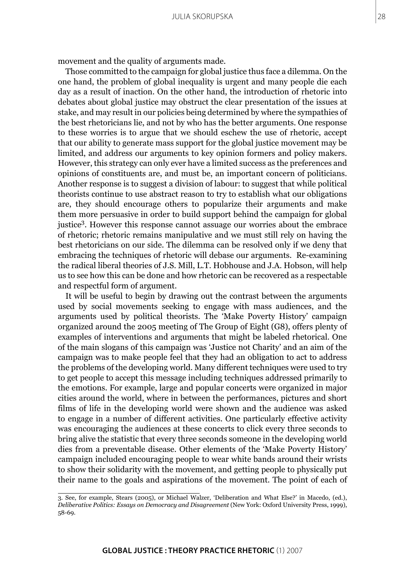movement and the quality of arguments made.

Those committed to the campaign for global justice thus face a dilemma. On the one hand, the problem of global inequality is urgent and many people die each day as a result of inaction. On the other hand, the introduction of rhetoric into debates about global justice may obstruct the clear presentation of the issues at stake, and may result in our policies being determined by where the sympathies of the best rhetoricians lie, and not by who has the better arguments. One response to these worries is to argue that we should eschew the use of rhetoric, accept that our ability to generate mass support for the global justice movement may be limited, and address our arguments to key opinion formers and policy makers. However, this strategy can only ever have a limited success as the preferences and opinions of constituents are, and must be, an important concern of politicians. Another response is to suggest a division of labour: to suggest that while political theorists continue to use abstract reason to try to establish what our obligations are, they should encourage others to popularize their arguments and make them more persuasive in order to build support behind the campaign for global justice<sup>3</sup> . However this response cannot assuage our worries about the embrace of rhetoric; rhetoric remains manipulative and we must still rely on having the best rhetoricians on our side. The dilemma can be resolved only if we deny that embracing the techniques of rhetoric will debase our arguments. Re-examining the radical liberal theories of J.S. Mill, L.T. Hobhouse and J.A. Hobson, will help us to see how this can be done and how rhetoric can be recovered as a respectable and respectful form of argument.

It will be useful to begin by drawing out the contrast between the arguments used by social movements seeking to engage with mass audiences, and the arguments used by political theorists. The 'Make Poverty History' campaign organized around the 2005 meeting of The Group of Eight (G8), offers plenty of examples of interventions and arguments that might be labeled rhetorical. One of the main slogans of this campaign was 'Justice not Charity' and an aim of the campaign was to make people feel that they had an obligation to act to address the problems of the developing world. Many different techniques were used to try to get people to accept this message including techniques addressed primarily to the emotions. For example, large and popular concerts were organized in major cities around the world, where in between the performances, pictures and short films of life in the developing world were shown and the audience was asked to engage in a number of different activities. One particularly effective activity was encouraging the audiences at these concerts to click every three seconds to bring alive the statistic that every three seconds someone in the developing world dies from a preventable disease. Other elements of the 'Make Poverty History' campaign included encouraging people to wear white bands around their wrists to show their solidarity with the movement, and getting people to physically put their name to the goals and aspirations of the movement. The point of each of

<sup>3.</sup> See, for example, Stears (2005), or Michael Walzer, 'Deliberation and What Else?' in Macedo, (ed.), *Deliberative Politics: Essays on Democracy and Disagreement* (New York: Oxford University Press, 1999), 58-69.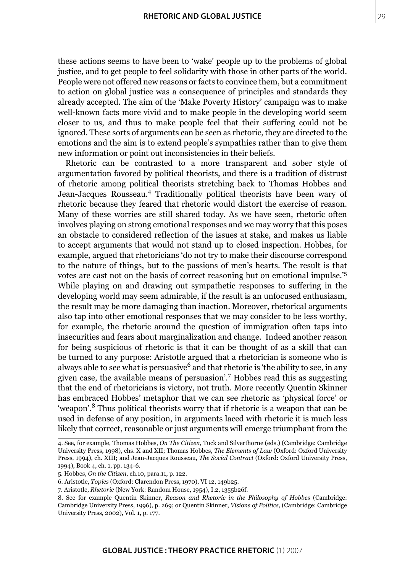these actions seems to have been to 'wake' people up to the problems of global justice, and to get people to feel solidarity with those in other parts of the world. People were not offered new reasons or facts to convince them, but a commitment to action on global justice was a consequence of principles and standards they already accepted. The aim of the 'Make Poverty History' campaign was to make well-known facts more vivid and to make people in the developing world seem closer to us, and thus to make people feel that their suffering could not be ignored. These sorts of arguments can be seen as rhetoric, they are directed to the emotions and the aim is to extend people's sympathies rather than to give them new information or point out inconsistencies in their beliefs.

Rhetoric can be contrasted to a more transparent and sober style of argumentation favored by political theorists, and there is a tradition of distrust of rhetoric among political theorists stretching back to Thomas Hobbes and Jean-Jacques Rousseau.<sup>4</sup> Traditionally political theorists have been wary of rhetoric because they feared that rhetoric would distort the exercise of reason. Many of these worries are still shared today. As we have seen, rhetoric often involves playing on strong emotional responses and we may worry that this poses an obstacle to considered reflection of the issues at stake, and makes us liable to accept arguments that would not stand up to closed inspection. Hobbes, for example, argued that rhetoricians 'do not try to make their discourse correspond to the nature of things, but to the passions of men's hearts. The result is that votes are cast not on the basis of correct reasoning but on emotional impulse.'<sup>5</sup> While playing on and drawing out sympathetic responses to suffering in the developing world may seem admirable, if the result is an unfocused enthusiasm, the result may be more damaging than inaction. Moreover, rhetorical arguments also tap into other emotional responses that we may consider to be less worthy, for example, the rhetoric around the question of immigration often taps into insecurities and fears about marginalization and change. Indeed another reason for being suspicious of rhetoric is that it can be thought of as a skill that can be turned to any purpose: Aristotle argued that a rhetorician is someone who is always able to see what is persuasive  $6$  and that rhetoric is 'the ability to see, in any given case, the available means of persuasion'.<sup>7</sup> Hobbes read this as suggesting that the end of rhetoricians is victory, not truth. More recently Quentin Skinner has embraced Hobbes' metaphor that we can see rhetoric as 'physical force' or 'weapon'.8 Thus political theorists worry that if rhetoric is a weapon that can be used in defense of any position, in arguments laced with rhetoric it is much less likely that correct, reasonable or just arguments will emerge triumphant from the

<sup>4.</sup> See, for example, Thomas Hobbes, *On The Citizen*, Tuck and Silverthorne (eds.) (Cambridge: Cambridge University Press, 1998), chs. X and XII; Thomas Hobbes, *The Elements of Law* (Oxford: Oxford University Press, 1994), ch. XIII; and Jean-Jacques Rousseau, *The Social Contract* (Oxford: Oxford University Press, 1994), Book 4, ch. 1, pp. 134-6.

<sup>5.</sup> Hobbes, *On the Citizen*, ch.10, para.11, p. 122.

<sup>6.</sup> Aristotle, *Topics* (Oxford: Clarendon Press, 1970), VI 12, 149b25.

<sup>7.</sup> Aristotle, *Rhetoric* (New York: Random House, 1954), I.2, 1355b26f.

<sup>8.</sup> See for example Quentin Skinner, *Reason and Rhetoric in the Philosophy of Hobbes* (Cambridge: Cambridge University Press, 1996), p. 269; or Quentin Skinner, *Visions of Politics*, (Cambridge: Cambridge University Press, 2002), Vol. 1, p. 177.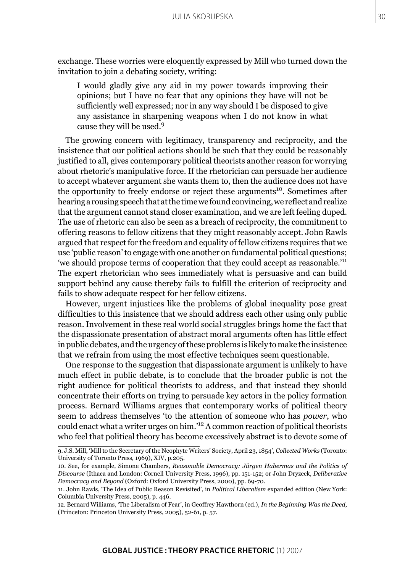exchange. These worries were eloquently expressed by Mill who turned down the invitation to join a debating society, writing:

I would gladly give any aid in my power towards improving their opinions; but I have no fear that any opinions they have will not be sufficiently well expressed; nor in any way should I be disposed to give any assistance in sharpening weapons when I do not know in what cause they will be used.<sup>9</sup>

The growing concern with legitimacy, transparency and reciprocity, and the insistence that our political actions should be such that they could be reasonably justified to all, gives contemporary political theorists another reason for worrying about rhetoric's manipulative force. If the rhetorician can persuade her audience to accept whatever argument she wants them to, then the audience does not have the opportunity to freely endorse or reject these arguments<sup>10</sup>. Sometimes after hearing a rousing speech that at the time we found convincing, we reflect and realize that the argument cannot stand closer examination, and we are left feeling duped. The use of rhetoric can also be seen as a breach of reciprocity, the commitment to offering reasons to fellow citizens that they might reasonably accept. John Rawls argued that respect for the freedom and equality of fellow citizens requires that we use 'public reason' to engage with one another on fundamental political questions; 'we should propose terms of cooperation that they could accept as reasonable.'<sup>11</sup> The expert rhetorician who sees immediately what is persuasive and can build support behind any cause thereby fails to fulfill the criterion of reciprocity and fails to show adequate respect for her fellow citizens.

However, urgent injustices like the problems of global inequality pose great difficulties to this insistence that we should address each other using only public reason. Involvement in these real world social struggles brings home the fact that the dispassionate presentation of abstract moral arguments often has little effect in public debates, and the urgency of these problems is likely to make the insistence that we refrain from using the most effective techniques seem questionable.

One response to the suggestion that dispassionate argument is unlikely to have much effect in public debate, is to conclude that the broader public is not the right audience for political theorists to address, and that instead they should concentrate their efforts on trying to persuade key actors in the policy formation process. Bernard Williams argues that contemporary works of political theory seem to address themselves 'to the attention of someone who has *power*, who could enact what a writer urges on him.'12 A common reaction of political theorists who feel that political theory has become excessively abstract is to devote some of

<sup>9.</sup> J.S. Mill, 'Mill to the Secretary of the Neophyte Writers' Society, April 23, 1854', *Collected Works* (Toronto: University of Toronto Press, 1969), XIV, p.205.

<sup>10.</sup> See, for example, Simone Chambers, *Reasonable Democracy: Jürgen Habermas and the Politics of Discourse* (Ithaca and London: Cornell University Press, 1996), pp. 151-152; or John Dryzeck, *Deliberative Democracy and Beyond* (Oxford: Oxford University Press, 2000), pp. 69-70.

<sup>11.</sup> John Rawls, 'The Idea of Public Reason Revisited', in *Political Liberalism* expanded edition (New York: Columbia University Press, 2005), p. 446.

<sup>12.</sup> Bernard Williams, 'The Liberalism of Fear', in Geoffrey Hawthorn (ed.), *In the Beginning Was the Deed*, (Princeton: Princeton University Press, 2005), 52-61, p. 57.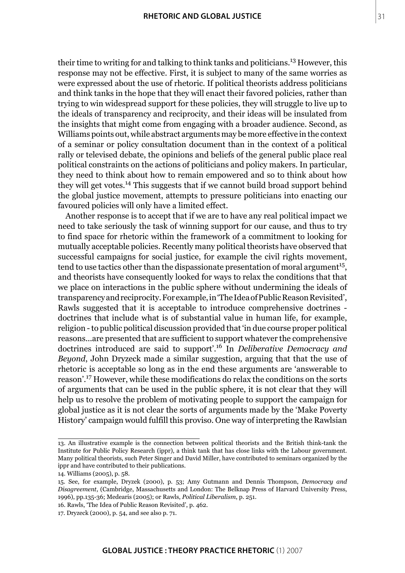their time to writing for and talking to think tanks and politicians.13 However, this response may not be effective. First, it is subject to many of the same worries as were expressed about the use of rhetoric. If political theorists address politicians and think tanks in the hope that they will enact their favored policies, rather than trying to win widespread support for these policies, they will struggle to live up to the ideals of transparency and reciprocity, and their ideas will be insulated from the insights that might come from engaging with a broader audience. Second, as Williams points out, while abstract arguments may be more effective in the context of a seminar or policy consultation document than in the context of a political rally or televised debate, the opinions and beliefs of the general public place real political constraints on the actions of politicians and policy makers. In particular, they need to think about how to remain empowered and so to think about how they will get votes.14 This suggests that if we cannot build broad support behind the global justice movement, attempts to pressure politicians into enacting our favoured policies will only have a limited effect.

Another response is to accept that if we are to have any real political impact we need to take seriously the task of winning support for our cause, and thus to try to find space for rhetoric within the framework of a commitment to looking for mutually acceptable policies. Recently many political theorists have observed that successful campaigns for social justice, for example the civil rights movement, tend to use tactics other than the dispassionate presentation of moral argument<sup>15</sup>, and theorists have consequently looked for ways to relax the conditions that that we place on interactions in the public sphere without undermining the ideals of transparency and reciprocity. For example, in 'The Idea of Public Reason Revisited', Rawls suggested that it is acceptable to introduce comprehensive doctrines doctrines that include what is of substantial value in human life, for example, religion - to public political discussion provided that 'in due course proper political reasons...are presented that are sufficient to support whatever the comprehensive doctrines introduced are said to support'.16 In *Deliberative Democracy and Beyond*, John Dryzeck made a similar suggestion, arguing that that the use of rhetoric is acceptable so long as in the end these arguments are 'answerable to reason'.17 However, while these modifications do relax the conditions on the sorts of arguments that can be used in the public sphere, it is not clear that they will help us to resolve the problem of motivating people to support the campaign for global justice as it is not clear the sorts of arguments made by the 'Make Poverty History' campaign would fulfill this proviso. One way of interpreting the Rawlsian

<sup>13.</sup> An illustrative example is the connection between political theorists and the British think-tank the Institute for Public Policy Research (ippr), a think tank that has close links with the Labour government. Many political theorists, such Peter Singer and David Miller, have contributed to seminars organized by the ippr and have contributed to their publications.

<sup>14.</sup> Williams (2005), p. 58.

<sup>15.</sup> See, for example, Dryzek (2000), p. 53; Amy Gutmann and Dennis Thompson, *Democracy and Disagreement*, (Cambridge, Massachusetts and London: The Belknap Press of Harvard University Press, 1996), pp.135-36; Medearis (2005); or Rawls, *Political Liberalism*, p. 251.

<sup>16.</sup> Rawls, 'The Idea of Public Reason Revisited', p. 462.

<sup>17.</sup> Dryzeck (2000), p. 54, and see also p. 71.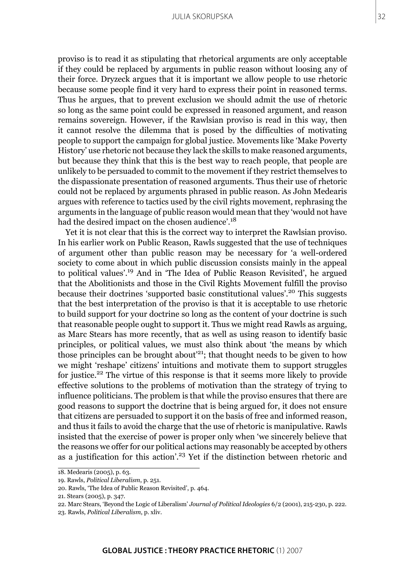proviso is to read it as stipulating that rhetorical arguments are only acceptable if they could be replaced by arguments in public reason without loosing any of their force. Dryzeck argues that it is important we allow people to use rhetoric because some people find it very hard to express their point in reasoned terms. Thus he argues, that to prevent exclusion we should admit the use of rhetoric so long as the same point could be expressed in reasoned argument, and reason remains sovereign. However, if the Rawlsian proviso is read in this way, then it cannot resolve the dilemma that is posed by the difficulties of motivating people to support the campaign for global justice. Movements like 'Make Poverty History' use rhetoric not because they lack the skills to make reasoned arguments, but because they think that this is the best way to reach people, that people are unlikely to be persuaded to commit to the movement if they restrict themselves to the dispassionate presentation of reasoned arguments. Thus their use of rhetoric could not be replaced by arguments phrased in public reason. As John Medearis argues with reference to tactics used by the civil rights movement, rephrasing the arguments in the language of public reason would mean that they 'would not have had the desired impact on the chosen audience'.<sup>18</sup>

Yet it is not clear that this is the correct way to interpret the Rawlsian proviso. In his earlier work on Public Reason, Rawls suggested that the use of techniques of argument other than public reason may be necessary for 'a well-ordered society to come about in which public discussion consists mainly in the appeal to political values'.19 And in 'The Idea of Public Reason Revisited', he argued that the Abolitionists and those in the Civil Rights Movement fulfill the proviso because their doctrines 'supported basic constitutional values'.20 This suggests that the best interpretation of the proviso is that it is acceptable to use rhetoric to build support for your doctrine so long as the content of your doctrine is such that reasonable people ought to support it. Thus we might read Rawls as arguing, as Marc Stears has more recently, that as well as using reason to identify basic principles, or political values, we must also think about 'the means by which those principles can be brought about<sup> $21$ </sup>; that thought needs to be given to how we might 'reshape' citizens' intuitions and motivate them to support struggles for justice.22 The virtue of this response is that it seems more likely to provide effective solutions to the problems of motivation than the strategy of trying to influence politicians. The problem is that while the proviso ensures that there are good reasons to support the doctrine that is being argued for, it does not ensure that citizens are persuaded to support it on the basis of free and informed reason, and thus it fails to avoid the charge that the use of rhetoric is manipulative. Rawls insisted that the exercise of power is proper only when 'we sincerely believe that the reasons we offer for our political actions may reasonably be accepted by others as a justification for this action'.23 Yet if the distinction between rhetoric and

<sup>18.</sup> Medearis (2005), p. 63.

<sup>19.</sup> Rawls, *Political Liberalism*, p. 251.

<sup>20.</sup> Rawls, 'The Idea of Public Reason Revisited', p. 464.

<sup>21.</sup> Stears (2005), p. 347.

<sup>22.</sup> Marc Stears, 'Beyond the Logic of Liberalism' *Journal of Political Ideologies* 6/2 (2001), 215-230, p. 222.

<sup>23.</sup> Rawls, *Political Liberalism*, p. xliv.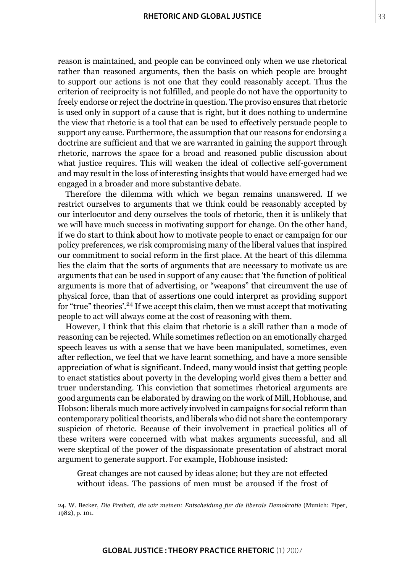reason is maintained, and people can be convinced only when we use rhetorical rather than reasoned arguments, then the basis on which people are brought to support our actions is not one that they could reasonably accept. Thus the criterion of reciprocity is not fulfilled, and people do not have the opportunity to freely endorse or reject the doctrine in question. The proviso ensures that rhetoric is used only in support of a cause that is right, but it does nothing to undermine the view that rhetoric is a tool that can be used to effectively persuade people to support any cause. Furthermore, the assumption that our reasons for endorsing a doctrine are sufficient and that we are warranted in gaining the support through rhetoric, narrows the space for a broad and reasoned public discussion about what justice requires. This will weaken the ideal of collective self-government and may result in the loss of interesting insights that would have emerged had we engaged in a broader and more substantive debate.

Therefore the dilemma with which we began remains unanswered. If we restrict ourselves to arguments that we think could be reasonably accepted by our interlocutor and deny ourselves the tools of rhetoric, then it is unlikely that we will have much success in motivating support for change. On the other hand, if we do start to think about how to motivate people to enact or campaign for our policy preferences, we risk compromising many of the liberal values that inspired our commitment to social reform in the first place. At the heart of this dilemma lies the claim that the sorts of arguments that are necessary to motivate us are arguments that can be used in support of any cause: that 'the function of political arguments is more that of advertising, or "weapons" that circumvent the use of physical force, than that of assertions one could interpret as providing support for "true" theories'.24 If we accept this claim, then we must accept that motivating people to act will always come at the cost of reasoning with them.

However, I think that this claim that rhetoric is a skill rather than a mode of reasoning can be rejected. While sometimes reflection on an emotionally charged speech leaves us with a sense that we have been manipulated, sometimes, even after reflection, we feel that we have learnt something, and have a more sensible appreciation of what is significant. Indeed, many would insist that getting people to enact statistics about poverty in the developing world gives them a better and truer understanding. This conviction that sometimes rhetorical arguments are good arguments can be elaborated by drawing on the work of Mill, Hobhouse, and Hobson: liberals much more actively involved in campaigns for social reform than contemporary political theorists, and liberals who did not share the contemporary suspicion of rhetoric. Because of their involvement in practical politics all of these writers were concerned with what makes arguments successful, and all were skeptical of the power of the dispassionate presentation of abstract moral argument to generate support. For example, Hobhouse insisted:

Great changes are not caused by ideas alone; but they are not effected without ideas. The passions of men must be aroused if the frost of

<sup>24.</sup> W. Becker, *Die Freiheit, die wir meinen: Entscheidung fur die liberale Demokratie* (Munich: Piper, 1982), p. 101.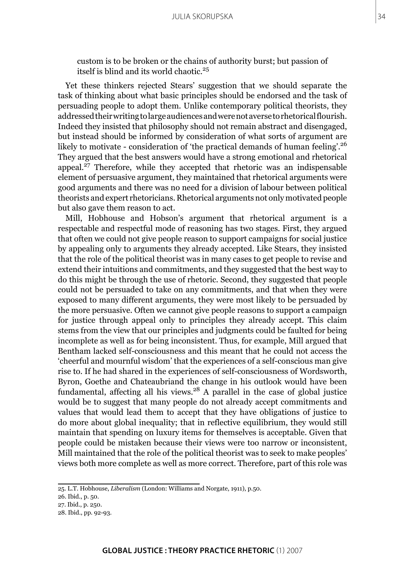custom is to be broken or the chains of authority burst; but passion of itself is blind and its world chaotic.<sup>25</sup>

Yet these thinkers rejected Stears' suggestion that we should separate the task of thinking about what basic principles should be endorsed and the task of persuading people to adopt them. Unlike contemporary political theorists, they addressed their writing to large audiences and were not averse to rhetorical flourish. Indeed they insisted that philosophy should not remain abstract and disengaged, but instead should be informed by consideration of what sorts of argument are likely to motivate - consideration of 'the practical demands of human feeling'.<sup>26</sup> They argued that the best answers would have a strong emotional and rhetorical appeal.27 Therefore, while they accepted that rhetoric was an indispensable element of persuasive argument, they maintained that rhetorical arguments were good arguments and there was no need for a division of labour between political theorists and expert rhetoricians. Rhetorical arguments not only motivated people but also gave them reason to act.

Mill, Hobhouse and Hobson's argument that rhetorical argument is a respectable and respectful mode of reasoning has two stages. First, they argued that often we could not give people reason to support campaigns for social justice by appealing only to arguments they already accepted. Like Stears, they insisted that the role of the political theorist was in many cases to get people to revise and extend their intuitions and commitments, and they suggested that the best way to do this might be through the use of rhetoric. Second, they suggested that people could not be persuaded to take on any commitments, and that when they were exposed to many different arguments, they were most likely to be persuaded by the more persuasive. Often we cannot give people reasons to support a campaign for justice through appeal only to principles they already accept. This claim stems from the view that our principles and judgments could be faulted for being incomplete as well as for being inconsistent. Thus, for example, Mill argued that Bentham lacked self-consciousness and this meant that he could not access the 'cheerful and mournful wisdom' that the experiences of a self-conscious man give rise to. If he had shared in the experiences of self-consciousness of Wordsworth, Byron, Goethe and Chateaubriand the change in his outlook would have been fundamental, affecting all his views. $28$  A parallel in the case of global justice would be to suggest that many people do not already accept commitments and values that would lead them to accept that they have obligations of justice to do more about global inequality; that in reflective equilibrium, they would still maintain that spending on luxury items for themselves is acceptable. Given that people could be mistaken because their views were too narrow or inconsistent, Mill maintained that the role of the political theorist was to seek to make peoples' views both more complete as well as more correct. Therefore, part of this role was

<sup>25.</sup> L.T. Hobhouse, *Liberalism* (London: Williams and Norgate, 1911), p.50.

<sup>26.</sup> Ibid., p. 50.

<sup>27.</sup> Ibid., p. 250.

<sup>28.</sup> Ibid., pp. 92-93.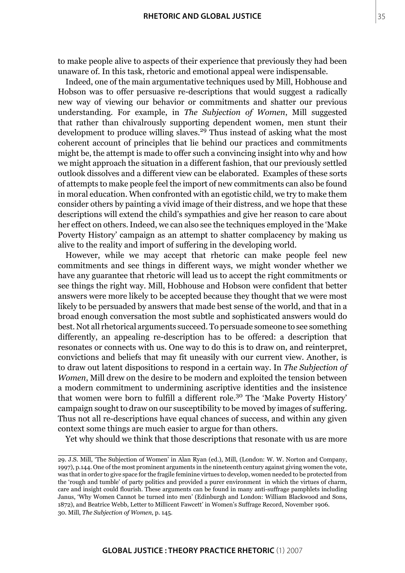to make people alive to aspects of their experience that previously they had been unaware of. In this task, rhetoric and emotional appeal were indispensable.

Indeed, one of the main argumentative techniques used by Mill, Hobhouse and Hobson was to offer persuasive re-descriptions that would suggest a radically new way of viewing our behavior or commitments and shatter our previous understanding. For example, in *The Subjection of Women*, Mill suggested that rather than chivalrously supporting dependent women, men stunt their development to produce willing slaves.<sup>29</sup> Thus instead of asking what the most coherent account of principles that lie behind our practices and commitments might be, the attempt is made to offer such a convincing insight into why and how we might approach the situation in a different fashion, that our previously settled outlook dissolves and a different view can be elaborated. Examples of these sorts of attempts to make people feel the import of new commitments can also be found in moral education. When confronted with an egotistic child, we try to make them consider others by painting a vivid image of their distress, and we hope that these descriptions will extend the child's sympathies and give her reason to care about her effect on others. Indeed, we can also see the techniques employed in the 'Make Poverty History' campaign as an attempt to shatter complacency by making us alive to the reality and import of suffering in the developing world.

However, while we may accept that rhetoric can make people feel new commitments and see things in different ways, we might wonder whether we have any guarantee that rhetoric will lead us to accept the right commitments or see things the right way. Mill, Hobhouse and Hobson were confident that better answers were more likely to be accepted because they thought that we were most likely to be persuaded by answers that made best sense of the world, and that in a broad enough conversation the most subtle and sophisticated answers would do best. Not all rhetorical arguments succeed. To persuade someone to see something differently, an appealing re-description has to be offered: a description that resonates or connects with us. One way to do this is to draw on, and reinterpret, convictions and beliefs that may fit uneasily with our current view. Another, is to draw out latent dispositions to respond in a certain way. In *The Subjection of Women*, Mill drew on the desire to be modern and exploited the tension between a modern commitment to undermining ascriptive identities and the insistence that women were born to fulfill a different role.30 The 'Make Poverty History' campaign sought to draw on our susceptibility to be moved by images of suffering. Thus not all re-descriptions have equal chances of success, and within any given context some things are much easier to argue for than others.

Yet why should we think that those descriptions that resonate with us are more

<sup>29.</sup> J.S. Mill, 'The Subjection of Women' in Alan Ryan (ed.), Mill, (London: W. W. Norton and Company, 1997), p.144. One of the most prominent arguments in the nineteenth century against giving women the vote, was that in order to give space for the fragile feminine virtues to develop, women needed to be protected from the 'rough and tumble' of party politics and provided a purer environment in which the virtues of charm, care and insight could flourish. These arguments can be found in many anti-suffrage pamphlets including Janus, 'Why Women Cannot be turned into men' (Edinburgh and London: William Blackwood and Sons, 1872), and Beatrice Webb, Letter to Millicent Fawcett' in Women's Suffrage Record, November 1906. 30. Mill, *The Subjection of Women*, p. 145.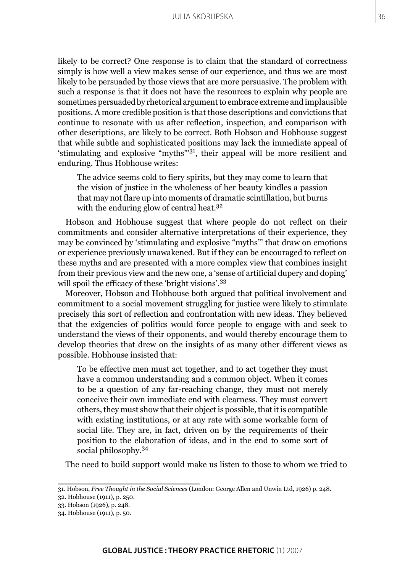## julia skorupska 36

likely to be correct? One response is to claim that the standard of correctness simply is how well a view makes sense of our experience, and thus we are most likely to be persuaded by those views that are more persuasive. The problem with such a response is that it does not have the resources to explain why people are sometimes persuaded by rhetorical argument to embrace extreme and implausible positions. A more credible position is that those descriptions and convictions that continue to resonate with us after reflection, inspection, and comparison with other descriptions, are likely to be correct. Both Hobson and Hobhouse suggest that while subtle and sophisticated positions may lack the immediate appeal of 'stimulating and explosive "myths"'31, their appeal will be more resilient and enduring. Thus Hobhouse writes:

The advice seems cold to fiery spirits, but they may come to learn that the vision of justice in the wholeness of her beauty kindles a passion that may not flare up into moments of dramatic scintillation, but burns with the enduring glow of central heat.<sup>32</sup>

Hobson and Hobhouse suggest that where people do not reflect on their commitments and consider alternative interpretations of their experience, they may be convinced by 'stimulating and explosive "myths"' that draw on emotions or experience previously unawakened. But if they can be encouraged to reflect on these myths and are presented with a more complex view that combines insight from their previous view and the new one, a 'sense of artificial dupery and doping' will spoil the efficacy of these 'bright visions'.<sup>33</sup>

Moreover, Hobson and Hobhouse both argued that political involvement and commitment to a social movement struggling for justice were likely to stimulate precisely this sort of reflection and confrontation with new ideas. They believed that the exigencies of politics would force people to engage with and seek to understand the views of their opponents, and would thereby encourage them to develop theories that drew on the insights of as many other different views as possible. Hobhouse insisted that:

To be effective men must act together, and to act together they must have a common understanding and a common object. When it comes to be a question of any far-reaching change, they must not merely conceive their own immediate end with clearness. They must convert others, they must show that their object is possible, that it is compatible with existing institutions, or at any rate with some workable form of social life. They are, in fact, driven on by the requirements of their position to the elaboration of ideas, and in the end to some sort of social philosophy.<sup>34</sup>

The need to build support would make us listen to those to whom we tried to

<sup>31.</sup> Hobson, *Free Thought in the Social Sciences* (London: George Allen and Unwin Ltd, 1926) p. 248.

<sup>32.</sup> Hobhouse (1911), p. 250.

<sup>33.</sup> Hobson (1926), p. 248.

<sup>34.</sup> Hobhouse (1911), p. 50.